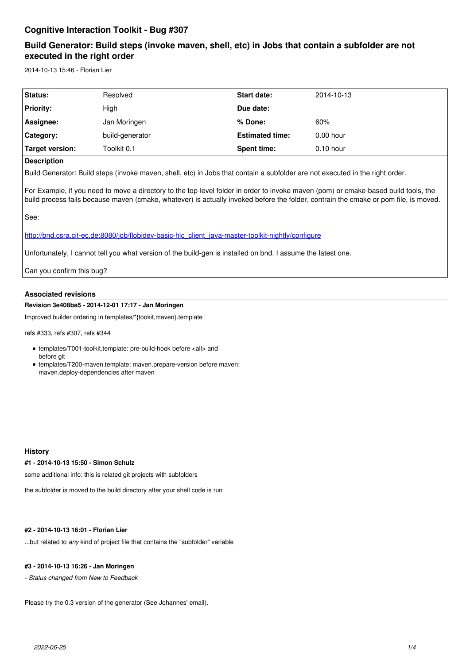# **Cognitive Interaction Toolkit - Bug #307**

# **Build Generator: Build steps (invoke maven, shell, etc) in Jobs that contain a subfolder are not executed in the right order**

2014-10-13 15:46 - Florian Lier

| <b>Status:</b>                | Resolved        | <b>Start date:</b>     | 2014-10-13  |
|-------------------------------|-----------------|------------------------|-------------|
| Priority:                     | High            | Due date:              |             |
| Assignee:                     | Jan Moringen    | % Done:                | 60%         |
| Category:                     | build-generator | <b>Estimated time:</b> | $0.00$ hour |
| Target version:               | Toolkit 0.1     | Spent time:            | $0.10$ hour |
| $\overline{\phantom{0}}$<br>. |                 |                        |             |

## **Description**

Build Generator: Build steps (invoke maven, shell, etc) in Jobs that contain a subfolder are not executed in the right order.

For Example, if you need to move a directory to the top-level folder in order to invoke maven (pom) or cmake-based build tools, the build process fails because maven (cmake, whatever) is actually invoked before the folder, contrain the cmake or pom file, is moved.

See:

http://bnd.csra.cit-ec.de:8080/job/flobidev-basic-hlc\_client\_java-master-toolkit-nightly/configure

Unfortunately, I cannot tell you what version of the build-gen is installed on bnd. I assume the latest one.

Can you confirm this bug?

### **Associated revisions**

**Revision 3e408be5 - 2014-12-01 17:17 - Jan Moringen**

Improved builder ordering in templates/\*{tookit,maven}.template

refs #333, refs #307, refs #344

templates/T001-toolkit.template: pre-build-hook before <all> and before git templates/T200-maven.template: maven.prepare-version before maven; maven.deploy-dependencies after maven

**History**

**#1 - 2014-10-13 15:50 - Simon Schulz**

some additional info: this is related git projects with subfolders

the subfolder is moved to the build directory after your shell code is run

**#2 - 2014-10-13 16:01 - Florian Lier**

...but related to *any* kind of project file that contains the "subfolder" variable

**#3 - 2014-10-13 16:26 - Jan Moringen**

*- Status changed from New to Feedback*

Please try the 0.3 version of the generator (See Johannes' email).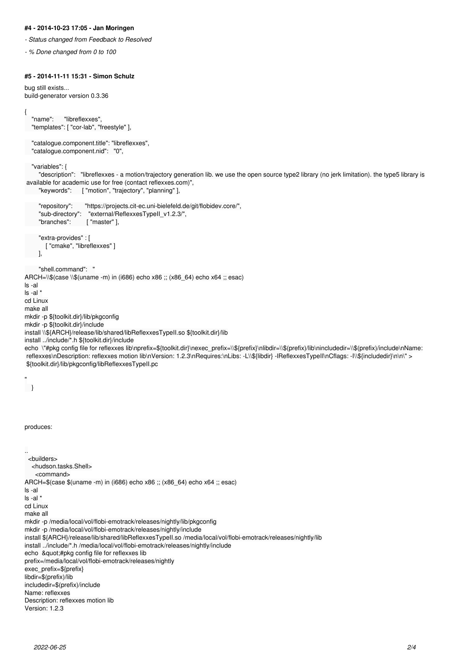### **#4 - 2014-10-23 17:05 - Jan Moringen**

*- Status changed from Feedback to Resolved*

*- % Done changed from 0 to 100*

{

"

## **#5 - 2014-11-11 15:31 - Simon Schulz**

```
bug still exists...
build-generator version 0.3.36
   "name": "libreflexxes",
   "templates": [ "cor-lab", "freestyle" ],
   "catalogue.component.title": "libreflexxes",
   "catalogue.component.nid": "0",
   "variables": {
      "description": "libreflexxes - a motion/trajectory generation lib. we use the open source type2 library (no jerk limitation). the type5 library is
 available for academic use for free (contact reflexxes.com)",
      "keywords": [ "motion", "trajectory", "planning" ],
      "repository": "https://projects.cit-ec.uni-bielefeld.de/git/flobidev.core/",
      "sub-directory": "external/ReflexxesTypeII_v1.2.3/",
                      ["master" ],
      "extra-provides" : [
         [ "cmake", "libreflexxes" ]
      ],
      "shell.command": "
ARCH=\\$(case \\$(uname -m) in (i686) echo x86 ;; (x86_64) echo x64 ;; esac)
ls -al
ls -al *
cd Linux
make all
mkdir -p ${toolkit.dir}/lib/pkgconfig
mkdir -p ${toolkit.dir}/include
install \\${ARCH}/release/lib/shared/libReflexxesTypeII.so ${toolkit.dir}/lib
install ../include/*.h ${toolkit.dir}/include
echo \"#pkg config file for reflexxes lib\nprefix=${toolkit.dir}\nexec_prefix=\\${prefix}\nlibdir=\\$(prefix)/lib\nincludedir=\\$(prefix)/include\nName:
 reflexxes\nDescription: reflexxes motion lib\nVersion: 1.2.3\nRequires:\nLibs: -L\\${libdir} -lReflexxesTypeII\nCflags: -I\\${includedir}\n\n\" >
 ${toolkit.dir}/lib/pkgconfig/libReflexxesTypeII.pc
 }
produces:
..
  <builders>
   <hudson.tasks.Shell>
     <command>
ARCH=$(case $(uname -m) in (i686) echo x86 ;; (x86_64) echo x64 ;; esac)
ls -al
ls -al *
cd Linux
make all
mkdir -p /media/local/vol/flobi-emotrack/releases/nightly/lib/pkgconfig
mkdir -p /media/local/vol/flobi-emotrack/releases/nightly/include
install ${ARCH}/release/lib/shared/libReflexxesTypeII.so /media/local/vol/flobi-emotrack/releases/nightly/lib
install ../include/*.h /media/local/vol/flobi-emotrack/releases/nightly/include
echo "#pkg config file for reflexxes lib
prefix=/media/local/vol/flobi-emotrack/releases/nightly
exec_prefix=${prefix}
libdir=$(prefix)/lib
includedir=$(prefix)/include
Name: reflexxes
Description: reflexxes motion lib
Version: 1.2.3
```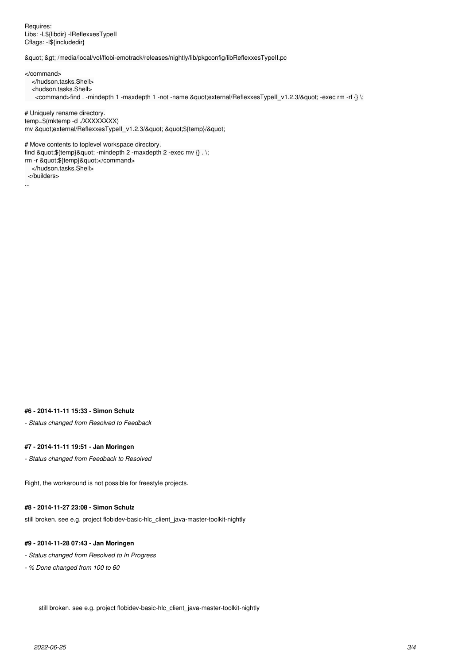Requires: Libs: -L\${libdir} -lReflexxesTypeII Cflags: -I\${includedir}

" > /media/local/vol/flobi-emotrack/releases/nightly/lib/pkgconfig/libReflexxesTypeII.pc

</command>

</hudson.tasks.Shell>

<hudson.tasks.Shell>

<command>find . -mindepth 1 -maxdepth 1 -not -name &quot;external/ReflexxesTypeII\_v1.2.3/&quot; -exec rm -rf {} \;

# Uniquely rename directory. temp=\$(mktemp -d ./XXXXXXXX) mv "external/ReflexxesTypeII\_v1.2.3/" "\${temp}/"

# Move contents to toplevel workspace directory. find "\${temp}" -mindepth 2 -maxdepth 2 -exec mv  $\{\}\ .\,$ ; rm -r "\${temp}"</command> </hudson.tasks.Shell>

</builders>

...

#### **#6 - 2014-11-11 15:33 - Simon Schulz**

*- Status changed from Resolved to Feedback*

#### **#7 - 2014-11-11 19:51 - Jan Moringen**

*- Status changed from Feedback to Resolved*

Right, the workaround is not possible for freestyle projects.

## **#8 - 2014-11-27 23:08 - Simon Schulz**

still broken. see e.g. project flobidev-basic-hlc\_client\_java-master-toolkit-nightly

#### **#9 - 2014-11-28 07:43 - Jan Moringen**

- *Status changed from Resolved to In Progress*
- *% Done changed from 100 to 60*

still broken. see e.g. project flobidev-basic-hlc\_client\_java-master-toolkit-nightly